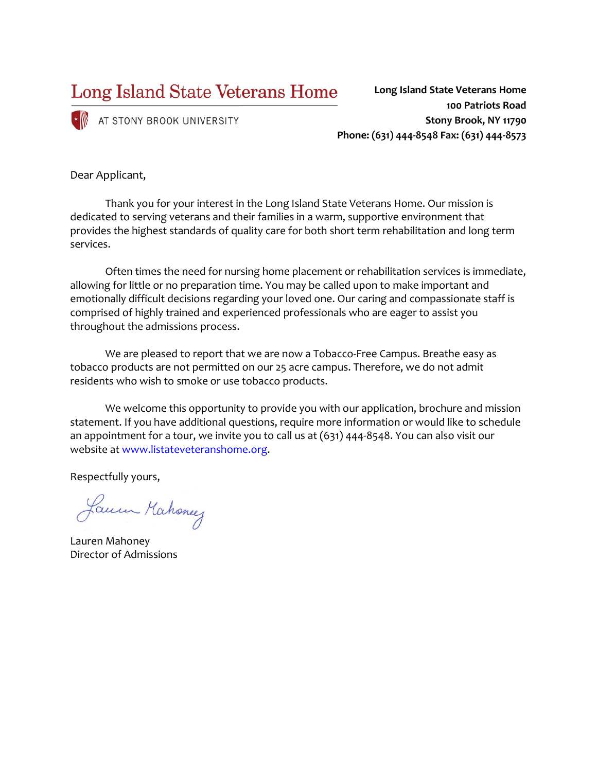Long Island State Veterans Home

 $\cdot \mathbb{N}$  AT STONY BROOK UNIVERSITY

**100 Patriots Road Stony Brook, NY 11790 Phone: (631) 444-8548 Fax: (631) 444-8573**

**Long Island State Veterans Home** 

Dear Applicant,

Thank you for your interest in the Long Island State Veterans Home. Our mission is dedicated to serving veterans and their families in a warm, supportive environment that provides the highest standards of quality care for both short term rehabilitation and long term services.

Often times the need for nursing home placement or rehabilitation services is immediate, allowing for little or no preparation time. You may be called upon to make important and emotionally difficult decisions regarding your loved one. Our caring and compassionate staff is comprised of highly trained and experienced professionals who are eager to assist you throughout the admissions process.

We are pleased to report that we are now a Tobacco-Free Campus. Breathe easy as tobacco products are not permitted on our 25 acre campus. Therefore, we do not admit residents who wish to smoke or use tobacco products.

We welcome this opportunity to provide you with our application, brochure and mission statement. If you have additional questions, require more information or would like to schedule an appointment for a tour, we invite you to call us at (631) 444-8548. You can also visit our website at www.listateveteranshome.org.

Respectfully yours,

Lauren Mahoney

Lauren Mahoney Director of Admissions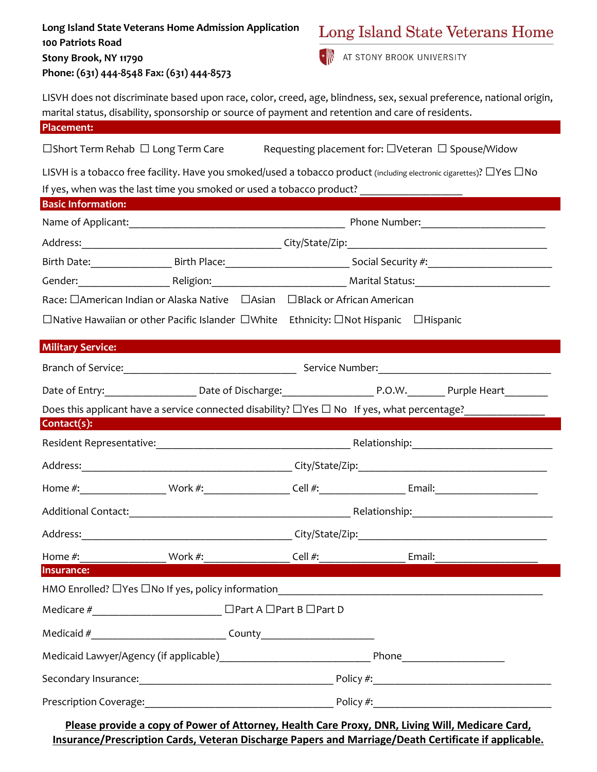| Long Island State Veterans Home Admission Application<br>100 Patriots Road |                                                                                                                                                                                                                          |  | Long Island State Veterans Home |  |  |
|----------------------------------------------------------------------------|--------------------------------------------------------------------------------------------------------------------------------------------------------------------------------------------------------------------------|--|---------------------------------|--|--|
| Stony Brook, NY 11790<br>Phone: (631) 444-8548 Fax: (631) 444-8573         |                                                                                                                                                                                                                          |  | AT STONY BROOK UNIVERSITY       |  |  |
|                                                                            | LISVH does not discriminate based upon race, color, creed, age, blindness, sex, sexual preference, national origin,<br>marital status, disability, sponsorship or source of payment and retention and care of residents. |  |                                 |  |  |
| <b>Placement:</b>                                                          |                                                                                                                                                                                                                          |  |                                 |  |  |
|                                                                            | $\Box$ Short Term Rehab $\Box$ Long Term Care Requesting placement for: $\Box$ Veteran $\Box$ Spouse/Widow                                                                                                               |  |                                 |  |  |
|                                                                            | LISVH is a tobacco free facility. Have you smoked/used a tobacco product (including electronic cigarettes)? $\Box$ Yes $\Box$ No                                                                                         |  |                                 |  |  |
|                                                                            | If yes, when was the last time you smoked or used a tobacco product? _______________________________                                                                                                                     |  |                                 |  |  |
| <b>Basic Information:</b>                                                  |                                                                                                                                                                                                                          |  |                                 |  |  |
|                                                                            |                                                                                                                                                                                                                          |  |                                 |  |  |
|                                                                            |                                                                                                                                                                                                                          |  |                                 |  |  |
|                                                                            |                                                                                                                                                                                                                          |  |                                 |  |  |
|                                                                            |                                                                                                                                                                                                                          |  |                                 |  |  |
|                                                                            | Race: □ American Indian or Alaska Native □ Asian □ Black or African American                                                                                                                                             |  |                                 |  |  |
|                                                                            | $\Box$ Native Hawaiian or other Pacific Islander $\Box$ White Ethnicity: $\Box$ Not Hispanic $\Box$ Hispanic                                                                                                             |  |                                 |  |  |
| <b>Military Service:</b>                                                   |                                                                                                                                                                                                                          |  |                                 |  |  |
|                                                                            |                                                                                                                                                                                                                          |  |                                 |  |  |
|                                                                            |                                                                                                                                                                                                                          |  |                                 |  |  |
|                                                                            |                                                                                                                                                                                                                          |  |                                 |  |  |
| $Context(s)$ :                                                             |                                                                                                                                                                                                                          |  |                                 |  |  |
|                                                                            |                                                                                                                                                                                                                          |  |                                 |  |  |
|                                                                            |                                                                                                                                                                                                                          |  |                                 |  |  |
|                                                                            |                                                                                                                                                                                                                          |  |                                 |  |  |
|                                                                            |                                                                                                                                                                                                                          |  |                                 |  |  |
|                                                                            |                                                                                                                                                                                                                          |  |                                 |  |  |
|                                                                            |                                                                                                                                                                                                                          |  |                                 |  |  |
| Insurance:                                                                 |                                                                                                                                                                                                                          |  |                                 |  |  |
|                                                                            |                                                                                                                                                                                                                          |  |                                 |  |  |
|                                                                            |                                                                                                                                                                                                                          |  |                                 |  |  |
|                                                                            |                                                                                                                                                                                                                          |  |                                 |  |  |
|                                                                            |                                                                                                                                                                                                                          |  |                                 |  |  |
|                                                                            |                                                                                                                                                                                                                          |  |                                 |  |  |
|                                                                            |                                                                                                                                                                                                                          |  |                                 |  |  |
|                                                                            | Please provide a copy of Power of Attorney, Health Care Proxy, DNR, Living Will, Medicare Card,                                                                                                                          |  |                                 |  |  |

**Insurance/Prescription Cards, Veteran Discharge Papers and Marriage/Death Certificate if applicable.** 

# Long Island State Veterans Home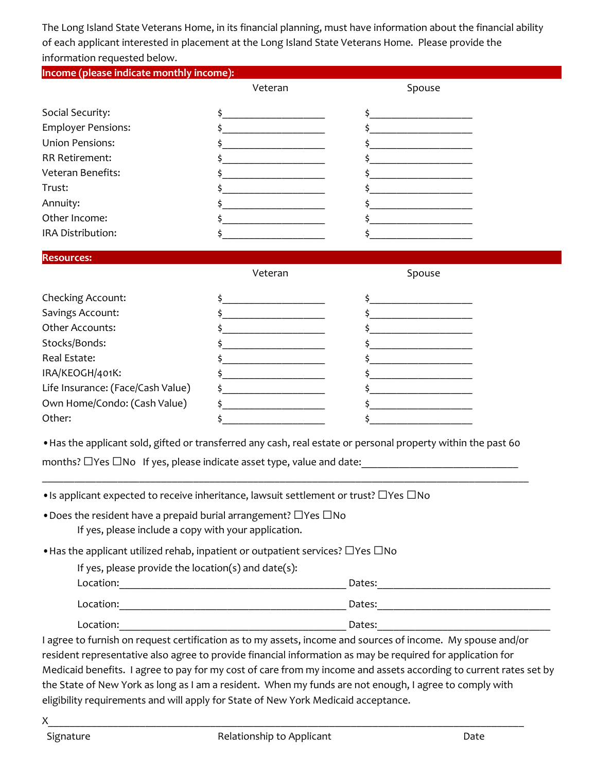The Long Island State Veterans Home, in its financial planning, must have information about the financial ability of each applicant interested in placement at the Long Island State Veterans Home. Please provide the information requested below.

| Income (please indicate monthly income):                                                           |                                                                                                                      |                                                                                                                |
|----------------------------------------------------------------------------------------------------|----------------------------------------------------------------------------------------------------------------------|----------------------------------------------------------------------------------------------------------------|
|                                                                                                    | Veteran                                                                                                              | Spouse                                                                                                         |
| Social Security:                                                                                   | \$                                                                                                                   | $\frac{1}{2}$                                                                                                  |
| <b>Employer Pensions:</b>                                                                          |                                                                                                                      | $\ddot{\mathsf{s}}$                                                                                            |
| <b>Union Pensions:</b>                                                                             |                                                                                                                      |                                                                                                                |
| <b>RR Retirement:</b>                                                                              |                                                                                                                      | $\ddot{\mathsf{s}}$                                                                                            |
| Veteran Benefits:                                                                                  | <u> 1980 - Johann Barn, mars an t-Amerikaansk kommunister (</u>                                                      |                                                                                                                |
| Trust:                                                                                             |                                                                                                                      |                                                                                                                |
| Annuity:                                                                                           | <u> 1990 - Johann Barbara, martin a</u>                                                                              |                                                                                                                |
| Other Income:                                                                                      |                                                                                                                      | $\frac{1}{2}$                                                                                                  |
| IRA Distribution:                                                                                  |                                                                                                                      | <u> 1980 - Johann Barbara, martin a</u>                                                                        |
| <b>Resources:</b>                                                                                  |                                                                                                                      |                                                                                                                |
|                                                                                                    | Veteran                                                                                                              | Spouse                                                                                                         |
| Checking Account:                                                                                  | <u> 1989 - Johann Barn, mars ann an t-</u>                                                                           |                                                                                                                |
| Savings Account:                                                                                   | $\ddot{\mathsf{s}}$                                                                                                  | $\frac{1}{2}$                                                                                                  |
| Other Accounts:                                                                                    | <u> 1980 - Andrea Andrew Maria (h. 19</u>                                                                            |                                                                                                                |
| Stocks/Bonds:                                                                                      | <u> 1989 - Johann John Harry Harry Harry Harry Harry Harry Harry Harry Harry Harry Harry Harry Harry Harry Harry</u> | the company of the company of the company of                                                                   |
| Real Estate:                                                                                       |                                                                                                                      |                                                                                                                |
| IRA/KEOGH/401K:                                                                                    |                                                                                                                      |                                                                                                                |
| Life Insurance: (Face/Cash Value)                                                                  |                                                                                                                      |                                                                                                                |
| Own Home/Condo: (Cash Value)                                                                       | <u> 1990 - Johann Barbara, martin a</u>                                                                              | <u> 1990 - Johann Barbara, martin a</u>                                                                        |
| Other:                                                                                             |                                                                                                                      |                                                                                                                |
|                                                                                                    |                                                                                                                      | . Has the applicant sold, gifted or transferred any cash, real estate or personal property within the past 60  |
|                                                                                                    |                                                                                                                      | months? □Yes □No If yes, please indicate asset type, value and date: ______________________________            |
|                                                                                                    |                                                                                                                      |                                                                                                                |
| • Is applicant expected to receive inheritance, lawsuit settlement or trust? $\Box$ Yes $\Box$ No  |                                                                                                                      |                                                                                                                |
| • Does the resident have a prepaid burial arrangement? $\Box$ Yes $\Box$ No                        |                                                                                                                      |                                                                                                                |
| If yes, please include a copy with your application.                                               |                                                                                                                      |                                                                                                                |
| $\bullet$ Has the applicant utilized rehab, inpatient or outpatient services? $\Box$ Yes $\Box$ No |                                                                                                                      |                                                                                                                |
| If yes, please provide the location(s) and date(s):                                                |                                                                                                                      |                                                                                                                |
|                                                                                                    |                                                                                                                      |                                                                                                                |
|                                                                                                    |                                                                                                                      |                                                                                                                |
|                                                                                                    |                                                                                                                      | Dates: Notes: Notes: Notes: Notes: Notes: Notes: Notes: Notes: Notes: Notes: Notes: Notes: Notes: Notes: Notes |
|                                                                                                    |                                                                                                                      |                                                                                                                |

the State of New York as long as I am a resident. When my funds are not enough, I agree to comply with eligibility requirements and will apply for State of New York Medicaid acceptance.

 $X_\perp$  and the state of the state of the state of the state of the state of the state of the state of the state of the state of the state of the state of the state of the state of the state of the state of the state of th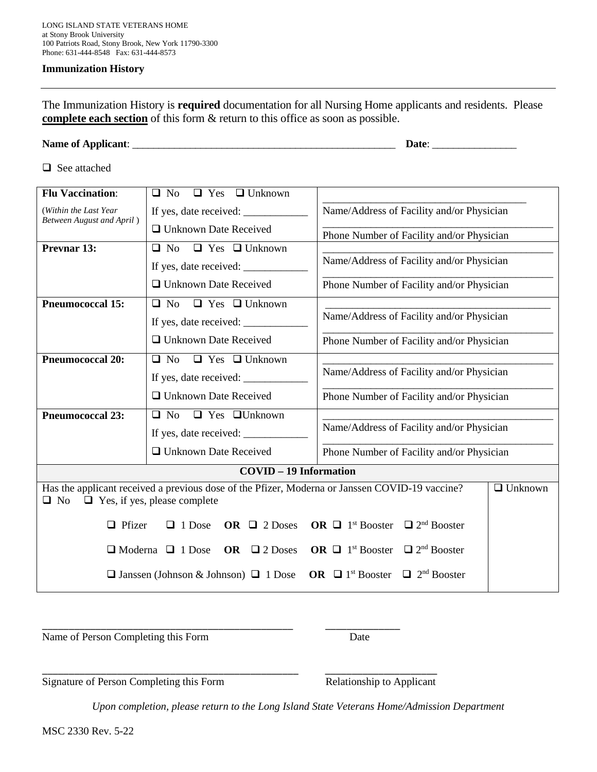### **Immunization History**

The Immunization History is **required** documentation for all Nursing Home applicants and residents. Please **complete each section** of this form & return to this office as soon as possible.

| <b>Name of Applicant:</b> | Date. |
|---------------------------|-------|
|---------------------------|-------|

□ See attached

| <b>Flu Vaccination:</b>                                        | $\Box$ Yes $\Box$ Unknown<br>$\Box$ No                                                                                                |                                                                     |  |  |
|----------------------------------------------------------------|---------------------------------------------------------------------------------------------------------------------------------------|---------------------------------------------------------------------|--|--|
| (Within the Last Year                                          |                                                                                                                                       | Name/Address of Facility and/or Physician                           |  |  |
| <b>Between August and April</b> )                              | □ Unknown Date Received                                                                                                               | Phone Number of Facility and/or Physician                           |  |  |
| Prevnar 13:                                                    | $\Box$ No $\Box$ Yes $\Box$ Unknown                                                                                                   |                                                                     |  |  |
|                                                                |                                                                                                                                       | Name/Address of Facility and/or Physician                           |  |  |
|                                                                | □ Unknown Date Received                                                                                                               | Phone Number of Facility and/or Physician                           |  |  |
| <b>Pneumococcal 15:</b>                                        | $\Box$ No $\Box$ Yes $\Box$ Unknown                                                                                                   |                                                                     |  |  |
|                                                                | If yes, date received:                                                                                                                | Name/Address of Facility and/or Physician                           |  |  |
|                                                                | □ Unknown Date Received                                                                                                               | Phone Number of Facility and/or Physician                           |  |  |
| $\Box$ No $\Box$ Yes $\Box$ Unknown<br><b>Pneumococcal 20:</b> |                                                                                                                                       |                                                                     |  |  |
|                                                                |                                                                                                                                       | Name/Address of Facility and/or Physician                           |  |  |
|                                                                | □ Unknown Date Received                                                                                                               | Phone Number of Facility and/or Physician                           |  |  |
| <b>Pneumococcal 23:</b>                                        | $\Box$ No $\Box$ Yes $\Box$ Unknown                                                                                                   |                                                                     |  |  |
|                                                                |                                                                                                                                       | Name/Address of Facility and/or Physician                           |  |  |
|                                                                | □ Unknown Date Received                                                                                                               | Phone Number of Facility and/or Physician                           |  |  |
|                                                                | <b>COVID - 19 Information</b>                                                                                                         |                                                                     |  |  |
| No<br>□                                                        | Has the applicant received a previous dose of the Pfizer, Moderna or Janssen COVID-19 vaccine?<br>$\Box$ Yes, if yes, please complete | $\Box$ Unknown                                                      |  |  |
| $\Box$ Pfizer                                                  | $\Box$ 1 Dose<br>OR $\Box$ 2 Doses                                                                                                    | $\Box$ 2 <sup>nd</sup> Booster<br>OR $\Box$ 1 <sup>st</sup> Booster |  |  |
|                                                                | $\Box$ Moderna $\Box$ 1 Dose<br>OR $\Box$ 2 Doses                                                                                     | $\Box$ 2 <sup>nd</sup> Booster<br>OR $\Box$ 1 <sup>st</sup> Booster |  |  |
|                                                                | $\Box$ Janssen (Johnson & Johnson) $\Box$ 1 Dose                                                                                      | $\Box$ 2 <sup>nd</sup> Booster<br>OR $\Box$ 1 <sup>st</sup> Booster |  |  |

Name of Person Completing this Form Date

Signature of Person Completing this Form Relationship to Applicant

*Upon completion, please return to the Long Island State Veterans Home/Admission Department* 

\_\_\_\_\_\_\_\_\_\_\_\_\_\_\_\_\_\_\_\_\_\_\_\_\_\_\_\_\_\_\_\_\_\_\_\_\_\_\_\_\_\_\_\_\_\_\_ \_\_\_\_\_\_\_\_\_\_\_\_\_\_

\_\_\_\_\_\_\_\_\_\_\_\_\_\_\_\_\_\_\_\_\_\_\_\_\_\_\_\_\_\_\_\_\_\_\_\_\_\_\_\_\_\_\_\_\_\_\_\_ \_\_\_\_\_\_\_\_\_\_\_\_\_\_\_\_\_\_\_\_\_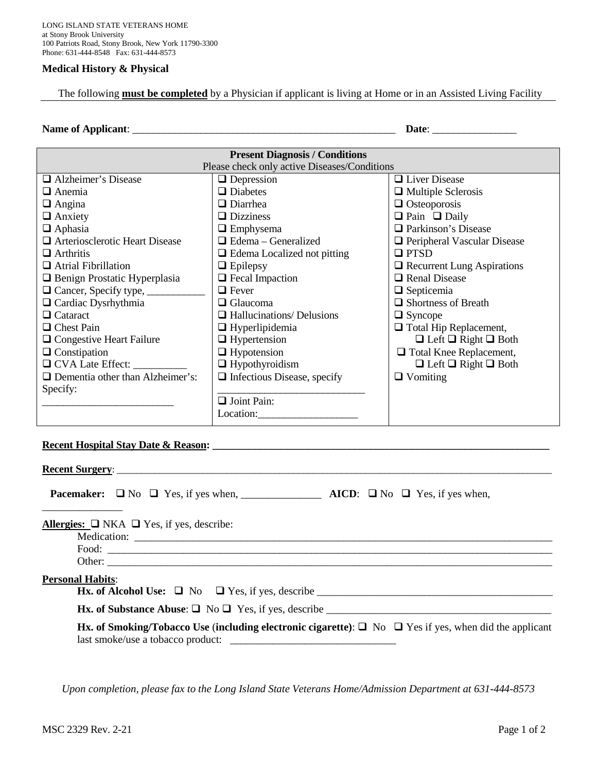## **Medical History & Physical**

The following **must be completed** by a Physician if applicant is living at Home or in an Assisted Living Facility

#### **Name of Applicant**: \_\_\_\_\_\_\_\_\_\_\_\_\_\_\_\_\_\_\_\_\_\_\_\_\_\_\_\_\_\_\_\_\_\_\_\_\_\_\_\_\_\_\_\_\_\_\_\_\_\_ **Date**: \_\_\_\_\_\_\_\_\_\_\_\_\_\_\_\_

| <b>Present Diagnosis / Conditions</b>                              |                                    |                                      |  |  |
|--------------------------------------------------------------------|------------------------------------|--------------------------------------|--|--|
| Please check only active Diseases/Conditions                       |                                    |                                      |  |  |
| □ Alzheimer's Disease<br>$\Box$ Liver Disease<br>$\Box$ Depression |                                    |                                      |  |  |
| $\Box$ Anemia                                                      | $\Box$ Diabetes                    | $\Box$ Multiple Sclerosis            |  |  |
| $\Box$ Angina                                                      | $\Box$ Diarrhea                    | $\Box$ Osteoporosis                  |  |  |
| $\Box$ Anxiety                                                     | $\Box$ Dizziness                   | $\Box$ Pain $\Box$ Daily             |  |  |
| $\Box$ Aphasia                                                     | $\Box$ Emphysema                   | <b>Parkinson's Disease</b>           |  |  |
| □ Arteriosclerotic Heart Disease                                   | $\Box$ Edema – Generalized         | $\Box$ Peripheral Vascular Disease   |  |  |
| $\Box$ Arthritis                                                   | $\Box$ Edema Localized not pitting | $\Box$ PTSD                          |  |  |
| $\Box$ Atrial Fibrillation                                         | $\Box$ Epilepsy                    | $\Box$ Recurrent Lung Aspirations    |  |  |
| <b>Q</b> Benign Prostatic Hyperplasia                              | $\Box$ Fecal Impaction             | <b>Q</b> Renal Disease               |  |  |
|                                                                    | $\Box$ Fever                       | $\Box$ Septicemia                    |  |  |
| $\Box$ Cardiac Dysrhythmia                                         | $\Box$ Glaucoma                    | $\Box$ Shortness of Breath           |  |  |
| $\Box$ Cataract                                                    | $\Box$ Hallucinations/ Delusions   | $\Box$ Syncope                       |  |  |
| $\Box$ Chest Pain                                                  | $\Box$ Hyperlipidemia              | $\Box$ Total Hip Replacement,        |  |  |
| $\Box$ Congestive Heart Failure                                    | $\Box$ Hypertension                | $\Box$ Left $\Box$ Right $\Box$ Both |  |  |
| $\Box$ Constipation                                                | $\Box$ Hypotension                 | □ Total Knee Replacement,            |  |  |
| □ CVA Late Effect:                                                 | $\Box$ Hypothyroidism              | $\Box$ Left $\Box$ Right $\Box$ Both |  |  |
| $\Box$ Dementia other than Alzheimer's:                            | $\Box$ Infectious Disease, specify | $\Box$ Vomiting                      |  |  |
| Specify:                                                           |                                    |                                      |  |  |
|                                                                    | $\Box$ Joint Pain:                 |                                      |  |  |
|                                                                    | Location:                          |                                      |  |  |
|                                                                    |                                    |                                      |  |  |

# Recent Hospital Stay Date & Reason:

| Recent Surgery:         |                                                                                                                                                       |
|-------------------------|-------------------------------------------------------------------------------------------------------------------------------------------------------|
|                         |                                                                                                                                                       |
|                         | Allergies: $\Box$ NKA $\Box$ Yes, if yes, describe:                                                                                                   |
| <b>Personal Habits:</b> | <b>Hx.</b> of Alcohol Use: $\Box$ No $\Box$ Yes, if yes, describe<br><b>Hx.</b> of Substance Abuse: $\Box$ No $\Box$ Yes, if yes, describe            |
|                         | Hx. of Smoking/Tobacco Use (including electronic cigarette): $\Box$ No $\Box$ Yes if yes, when did the applicant<br>last smoke/use a tobacco product: |

*Upon completion, please fax to the Long Island State Veterans Home/Admission Department at 631-444-8573*